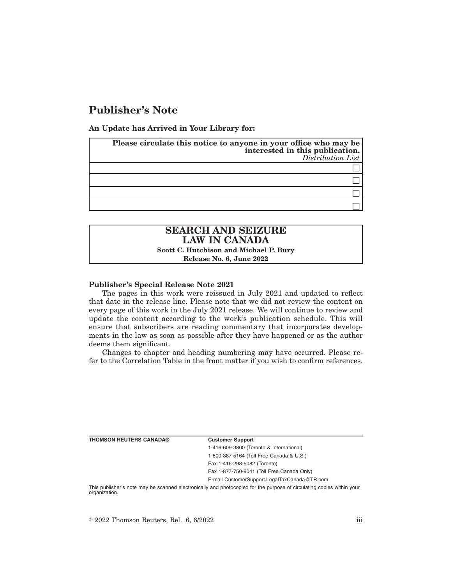# **Publisher's Note**

**An Update has Arrived in Your Library for:**

| Please circulate this notice to anyone in your office who may be<br>interested in this publication.<br>Distribution List |
|--------------------------------------------------------------------------------------------------------------------------|
|                                                                                                                          |
|                                                                                                                          |
|                                                                                                                          |
|                                                                                                                          |

# **SEARCH AND SEIZURE LAW IN CANADA**

**Scott C. Hutchison and Michael P. Bury**

**Release No. 6, June 2022**

## **Publisher's Special Release Note 2021**

The pages in this work were reissued in July 2021 and updated to reflect that date in the release line. Please note that we did not review the content on every page of this work in the July 2021 release. We will continue to review and update the content according to the work's publication schedule. This will ensure that subscribers are reading commentary that incorporates developments in the law as soon as possible after they have happened or as the author deems them significant.

Changes to chapter and heading numbering may have occurred. Please refer to the Correlation Table in the front matter if you wish to confirm references.

| <b>Customer Support</b>                      |
|----------------------------------------------|
| 1-416-609-3800 (Toronto & International)     |
| 1-800-387-5164 (Toll Free Canada & U.S.)     |
| Fax 1-416-298-5082 (Toronto)                 |
| Fax 1-877-750-9041 (Toll Free Canada Only)   |
| E-mail CustomerSupport.LegalTaxCanada@TR.com |

This publisher's note may be scanned electronically and photocopied for the purpose of circulating copies within your organization.

 $\degree$  2022 Thomson Reuters, Rel. 6, 6/2022 iii

**THOMSON REUTERS CANADA®**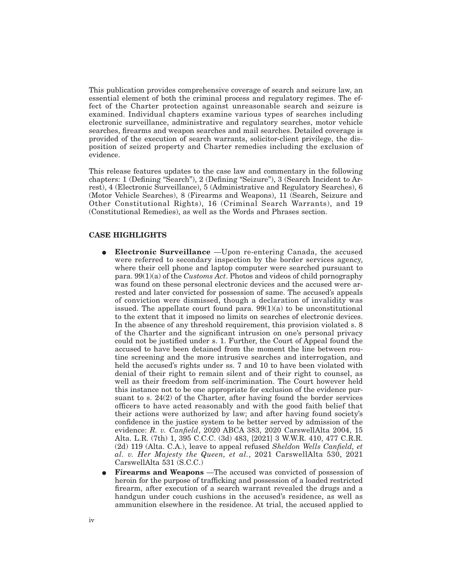This publication provides comprehensive coverage of search and seizure law, an essential element of both the criminal process and regulatory regimes. The effect of the Charter protection against unreasonable search and seizure is examined. Individual chapters examine various types of searches including electronic surveillance, administrative and regulatory searches, motor vehicle searches, firearms and weapon searches and mail searches. Detailed coverage is provided of the execution of search warrants, solicitor-client privilege, the disposition of seized property and Charter remedies including the exclusion of evidence.

This release features updates to the case law and commentary in the following chapters: 1 (Defining "Search"), 2 (Defining "Seizure"), 3 (Search Incident to Arrest), 4 (Electronic Surveillance), 5 (Administrative and Regulatory Searches), 6 (Motor Vehicle Searches), 8 (Firearms and Weapons), 11 (Search, Seizure and Other Constitutional Rights), 16 (Criminal Search Warrants), and 19 (Constitutional Remedies), as well as the Words and Phrases section.

### **CASE HIGHLIGHTS**

- E **Electronic Surveillance** —Upon re-entering Canada, the accused were referred to secondary inspection by the border services agency, where their cell phone and laptop computer were searched pursuant to para. 99(1)(a) of the *Customs Act*. Photos and videos of child pornography was found on these personal electronic devices and the accused were arrested and later convicted for possession of same. The accused's appeals of conviction were dismissed, though a declaration of invalidity was issued. The appellate court found para.  $99(1)(a)$  to be unconstitutional to the extent that it imposed no limits on searches of electronic devices. In the absence of any threshold requirement, this provision violated s. 8 of the Charter and the significant intrusion on one's personal privacy could not be justified under s. 1. Further, the Court of Appeal found the accused to have been detained from the moment the line between routine screening and the more intrusive searches and interrogation, and held the accused's rights under ss. 7 and 10 to have been violated with denial of their right to remain silent and of their right to counsel, as well as their freedom from self-incrimination. The Court however held this instance not to be one appropriate for exclusion of the evidence pursuant to s. 24(2) of the Charter, after having found the border services officers to have acted reasonably and with the good faith belief that their actions were authorized by law; and after having found society's confidence in the justice system to be better served by admission of the evidence: *R. v. Canfield*, 2020 ABCA 383, 2020 CarswellAlta 2004, 15 Alta. L.R. (7th) 1, 395 C.C.C. (3d) 483, [2021] 3 W.W.R. 410, 477 C.R.R. (2d) 119 (Alta. C.A.), leave to appeal refused *Sheldon Wells Canfield, et al. v. Her Majesty the Queen, et al.*, 2021 CarswellAlta 530, 2021 CarswellAlta 531 (S.C.C.)
- Firearms and Weapons —The accused was convicted of possession of heroin for the purpose of trafficking and possession of a loaded restricted firearm, after execution of a search warrant revealed the drugs and a handgun under couch cushions in the accused's residence, as well as ammunition elsewhere in the residence. At trial, the accused applied to